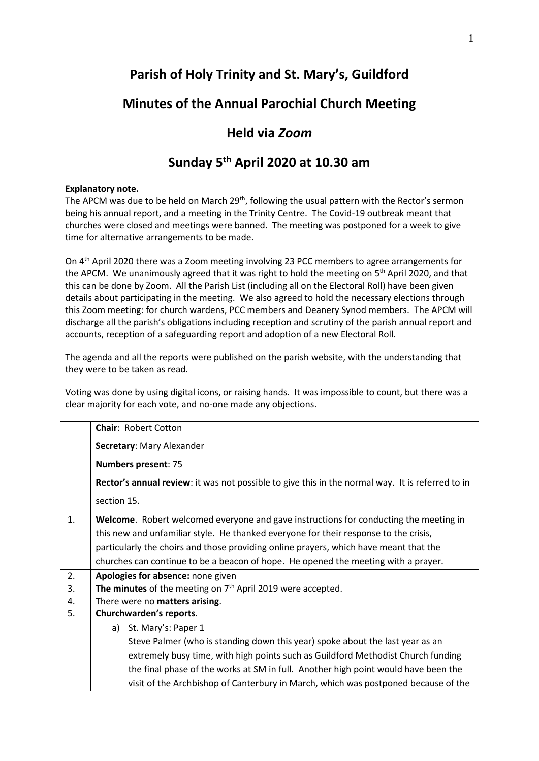# **Parish of Holy Trinity and St. Mary's, Guildford**

## **Minutes of the Annual Parochial Church Meeting**

### **Held via** *Zoom*

## **Sunday 5th April 2020 at 10.30 am**

#### **Explanatory note.**

The APCM was due to be held on March 29<sup>th</sup>, following the usual pattern with the Rector's sermon being his annual report, and a meeting in the Trinity Centre. The Covid-19 outbreak meant that churches were closed and meetings were banned. The meeting was postponed for a week to give time for alternative arrangements to be made.

On 4<sup>th</sup> April 2020 there was a Zoom meeting involving 23 PCC members to agree arrangements for the APCM. We unanimously agreed that it was right to hold the meeting on 5<sup>th</sup> April 2020, and that this can be done by Zoom. All the Parish List (including all on the Electoral Roll) have been given details about participating in the meeting. We also agreed to hold the necessary elections through this Zoom meeting: for church wardens, PCC members and Deanery Synod members. The APCM will discharge all the parish's obligations including reception and scrutiny of the parish annual report and accounts, reception of a safeguarding report and adoption of a new Electoral Roll.

The agenda and all the reports were published on the parish website, with the understanding that they were to be taken as read.

Voting was done by using digital icons, or raising hands. It was impossible to count, but there was a clear majority for each vote, and no-one made any objections.

|    | <b>Chair: Robert Cotton</b>                                                                      |
|----|--------------------------------------------------------------------------------------------------|
|    | Secretary: Mary Alexander                                                                        |
|    | <b>Numbers present: 75</b>                                                                       |
|    | Rector's annual review: it was not possible to give this in the normal way. It is referred to in |
|    | section 15.                                                                                      |
| 1. | Welcome. Robert welcomed everyone and gave instructions for conducting the meeting in            |
|    | this new and unfamiliar style. He thanked everyone for their response to the crisis,             |
|    | particularly the choirs and those providing online prayers, which have meant that the            |
|    | churches can continue to be a beacon of hope. He opened the meeting with a prayer.               |
| 2. | Apologies for absence: none given                                                                |
| 3. | The minutes of the meeting on $7th$ April 2019 were accepted.                                    |
| 4. | There were no matters arising.                                                                   |
| 5. | Churchwarden's reports.                                                                          |
|    | a) St. Mary's: Paper 1                                                                           |
|    | Steve Palmer (who is standing down this year) spoke about the last year as an                    |
|    | extremely busy time, with high points such as Guildford Methodist Church funding                 |
|    | the final phase of the works at SM in full. Another high point would have been the               |
|    | visit of the Archbishop of Canterbury in March, which was postponed because of the               |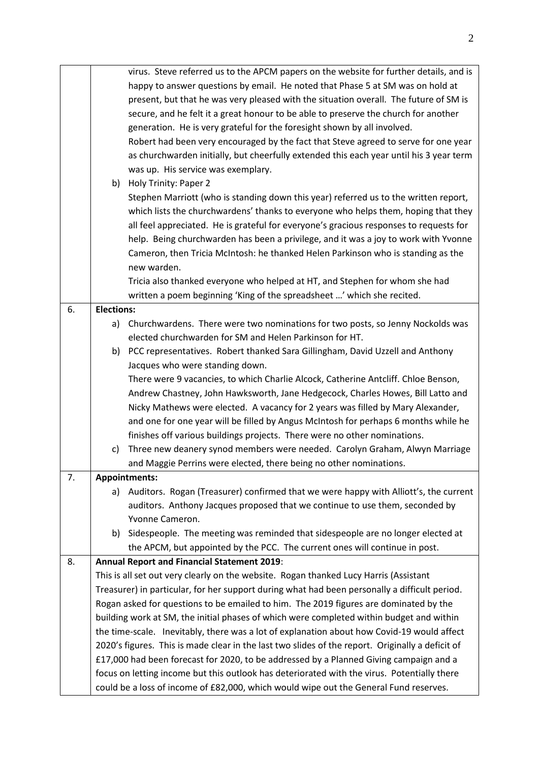|    |                   | virus. Steve referred us to the APCM papers on the website for further details, and is<br>happy to answer questions by email. He noted that Phase 5 at SM was on hold at<br>present, but that he was very pleased with the situation overall. The future of SM is<br>secure, and he felt it a great honour to be able to preserve the church for another<br>generation. He is very grateful for the foresight shown by all involved.<br>Robert had been very encouraged by the fact that Steve agreed to serve for one year<br>as churchwarden initially, but cheerfully extended this each year until his 3 year term<br>was up. His service was exemplary.<br>b) Holy Trinity: Paper 2<br>Stephen Marriott (who is standing down this year) referred us to the written report,<br>which lists the churchwardens' thanks to everyone who helps them, hoping that they<br>all feel appreciated. He is grateful for everyone's gracious responses to requests for<br>help. Being churchwarden has been a privilege, and it was a joy to work with Yvonne<br>Cameron, then Tricia McIntosh: he thanked Helen Parkinson who is standing as the<br>new warden. |
|----|-------------------|------------------------------------------------------------------------------------------------------------------------------------------------------------------------------------------------------------------------------------------------------------------------------------------------------------------------------------------------------------------------------------------------------------------------------------------------------------------------------------------------------------------------------------------------------------------------------------------------------------------------------------------------------------------------------------------------------------------------------------------------------------------------------------------------------------------------------------------------------------------------------------------------------------------------------------------------------------------------------------------------------------------------------------------------------------------------------------------------------------------------------------------------------------|
|    |                   | Tricia also thanked everyone who helped at HT, and Stephen for whom she had<br>written a poem beginning 'King of the spreadsheet ' which she recited.                                                                                                                                                                                                                                                                                                                                                                                                                                                                                                                                                                                                                                                                                                                                                                                                                                                                                                                                                                                                      |
| 6. | <b>Elections:</b> |                                                                                                                                                                                                                                                                                                                                                                                                                                                                                                                                                                                                                                                                                                                                                                                                                                                                                                                                                                                                                                                                                                                                                            |
|    | a)                | Churchwardens. There were two nominations for two posts, so Jenny Nockolds was                                                                                                                                                                                                                                                                                                                                                                                                                                                                                                                                                                                                                                                                                                                                                                                                                                                                                                                                                                                                                                                                             |
|    |                   | elected churchwarden for SM and Helen Parkinson for HT.                                                                                                                                                                                                                                                                                                                                                                                                                                                                                                                                                                                                                                                                                                                                                                                                                                                                                                                                                                                                                                                                                                    |
|    |                   | b) PCC representatives. Robert thanked Sara Gillingham, David Uzzell and Anthony                                                                                                                                                                                                                                                                                                                                                                                                                                                                                                                                                                                                                                                                                                                                                                                                                                                                                                                                                                                                                                                                           |
|    |                   | Jacques who were standing down.                                                                                                                                                                                                                                                                                                                                                                                                                                                                                                                                                                                                                                                                                                                                                                                                                                                                                                                                                                                                                                                                                                                            |
|    |                   | There were 9 vacancies, to which Charlie Alcock, Catherine Antcliff. Chloe Benson,                                                                                                                                                                                                                                                                                                                                                                                                                                                                                                                                                                                                                                                                                                                                                                                                                                                                                                                                                                                                                                                                         |
|    |                   | Andrew Chastney, John Hawksworth, Jane Hedgecock, Charles Howes, Bill Latto and<br>Nicky Mathews were elected. A vacancy for 2 years was filled by Mary Alexander,                                                                                                                                                                                                                                                                                                                                                                                                                                                                                                                                                                                                                                                                                                                                                                                                                                                                                                                                                                                         |
|    |                   | and one for one year will be filled by Angus McIntosh for perhaps 6 months while he                                                                                                                                                                                                                                                                                                                                                                                                                                                                                                                                                                                                                                                                                                                                                                                                                                                                                                                                                                                                                                                                        |
|    |                   | finishes off various buildings projects. There were no other nominations.                                                                                                                                                                                                                                                                                                                                                                                                                                                                                                                                                                                                                                                                                                                                                                                                                                                                                                                                                                                                                                                                                  |
|    | C)                | Three new deanery synod members were needed. Carolyn Graham, Alwyn Marriage                                                                                                                                                                                                                                                                                                                                                                                                                                                                                                                                                                                                                                                                                                                                                                                                                                                                                                                                                                                                                                                                                |
|    |                   | and Maggie Perrins were elected, there being no other nominations.                                                                                                                                                                                                                                                                                                                                                                                                                                                                                                                                                                                                                                                                                                                                                                                                                                                                                                                                                                                                                                                                                         |
| 7. |                   | <b>Appointments:</b>                                                                                                                                                                                                                                                                                                                                                                                                                                                                                                                                                                                                                                                                                                                                                                                                                                                                                                                                                                                                                                                                                                                                       |
|    | a)                | Auditors. Rogan (Treasurer) confirmed that we were happy with Alliott's, the current                                                                                                                                                                                                                                                                                                                                                                                                                                                                                                                                                                                                                                                                                                                                                                                                                                                                                                                                                                                                                                                                       |
|    |                   | auditors. Anthony Jacques proposed that we continue to use them, seconded by                                                                                                                                                                                                                                                                                                                                                                                                                                                                                                                                                                                                                                                                                                                                                                                                                                                                                                                                                                                                                                                                               |
|    |                   | Yvonne Cameron.                                                                                                                                                                                                                                                                                                                                                                                                                                                                                                                                                                                                                                                                                                                                                                                                                                                                                                                                                                                                                                                                                                                                            |
|    | b)                | Sidespeople. The meeting was reminded that sidespeople are no longer elected at                                                                                                                                                                                                                                                                                                                                                                                                                                                                                                                                                                                                                                                                                                                                                                                                                                                                                                                                                                                                                                                                            |
|    |                   | the APCM, but appointed by the PCC. The current ones will continue in post.                                                                                                                                                                                                                                                                                                                                                                                                                                                                                                                                                                                                                                                                                                                                                                                                                                                                                                                                                                                                                                                                                |
| 8. |                   | <b>Annual Report and Financial Statement 2019:</b>                                                                                                                                                                                                                                                                                                                                                                                                                                                                                                                                                                                                                                                                                                                                                                                                                                                                                                                                                                                                                                                                                                         |
|    |                   | This is all set out very clearly on the website. Rogan thanked Lucy Harris (Assistant                                                                                                                                                                                                                                                                                                                                                                                                                                                                                                                                                                                                                                                                                                                                                                                                                                                                                                                                                                                                                                                                      |
|    |                   | Treasurer) in particular, for her support during what had been personally a difficult period.                                                                                                                                                                                                                                                                                                                                                                                                                                                                                                                                                                                                                                                                                                                                                                                                                                                                                                                                                                                                                                                              |
|    |                   | Rogan asked for questions to be emailed to him. The 2019 figures are dominated by the                                                                                                                                                                                                                                                                                                                                                                                                                                                                                                                                                                                                                                                                                                                                                                                                                                                                                                                                                                                                                                                                      |
|    |                   | building work at SM, the initial phases of which were completed within budget and within                                                                                                                                                                                                                                                                                                                                                                                                                                                                                                                                                                                                                                                                                                                                                                                                                                                                                                                                                                                                                                                                   |
|    |                   | the time-scale. Inevitably, there was a lot of explanation about how Covid-19 would affect                                                                                                                                                                                                                                                                                                                                                                                                                                                                                                                                                                                                                                                                                                                                                                                                                                                                                                                                                                                                                                                                 |
|    |                   | 2020's figures. This is made clear in the last two slides of the report. Originally a deficit of<br>£17,000 had been forecast for 2020, to be addressed by a Planned Giving campaign and a                                                                                                                                                                                                                                                                                                                                                                                                                                                                                                                                                                                                                                                                                                                                                                                                                                                                                                                                                                 |
|    |                   | focus on letting income but this outlook has deteriorated with the virus. Potentially there                                                                                                                                                                                                                                                                                                                                                                                                                                                                                                                                                                                                                                                                                                                                                                                                                                                                                                                                                                                                                                                                |
|    |                   | could be a loss of income of £82,000, which would wipe out the General Fund reserves.                                                                                                                                                                                                                                                                                                                                                                                                                                                                                                                                                                                                                                                                                                                                                                                                                                                                                                                                                                                                                                                                      |
|    |                   |                                                                                                                                                                                                                                                                                                                                                                                                                                                                                                                                                                                                                                                                                                                                                                                                                                                                                                                                                                                                                                                                                                                                                            |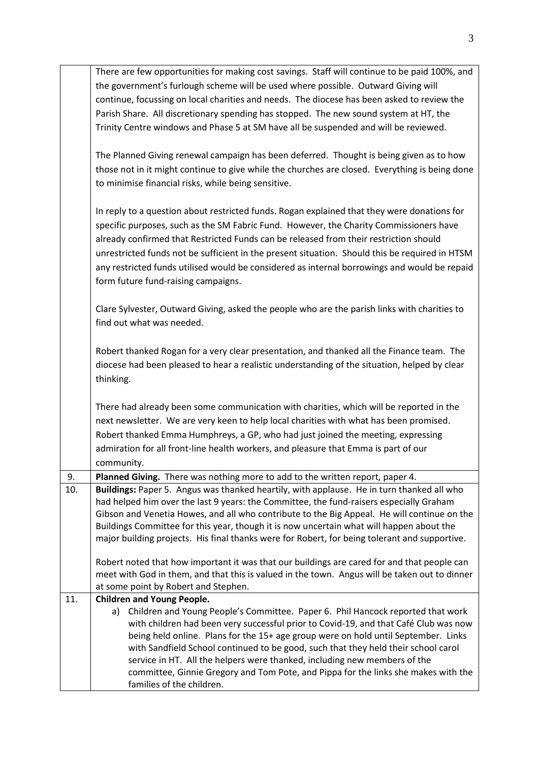|     | There are few opportunities for making cost savings. Staff will continue to be paid 100%, and  |
|-----|------------------------------------------------------------------------------------------------|
|     | the government's furlough scheme will be used where possible. Outward Giving will              |
|     | continue, focussing on local charities and needs. The diocese has been asked to review the     |
|     | Parish Share. All discretionary spending has stopped. The new sound system at HT, the          |
|     |                                                                                                |
|     | Trinity Centre windows and Phase 5 at SM have all be suspended and will be reviewed.           |
|     | The Planned Giving renewal campaign has been deferred. Thought is being given as to how        |
|     | those not in it might continue to give while the churches are closed. Everything is being done |
|     | to minimise financial risks, while being sensitive.                                            |
|     |                                                                                                |
|     | In reply to a question about restricted funds. Rogan explained that they were donations for    |
|     | specific purposes, such as the SM Fabric Fund. However, the Charity Commissioners have         |
|     | already confirmed that Restricted Funds can be released from their restriction should          |
|     | unrestricted funds not be sufficient in the present situation. Should this be required in HTSM |
|     | any restricted funds utilised would be considered as internal borrowings and would be repaid   |
|     |                                                                                                |
|     | form future fund-raising campaigns.                                                            |
|     | Clare Sylvester, Outward Giving, asked the people who are the parish links with charities to   |
|     | find out what was needed.                                                                      |
|     |                                                                                                |
|     | Robert thanked Rogan for a very clear presentation, and thanked all the Finance team. The      |
|     | diocese had been pleased to hear a realistic understanding of the situation, helped by clear   |
|     | thinking.                                                                                      |
|     |                                                                                                |
|     | There had already been some communication with charities, which will be reported in the        |
|     | next newsletter. We are very keen to help local charities with what has been promised.         |
|     | Robert thanked Emma Humphreys, a GP, who had just joined the meeting, expressing               |
|     | admiration for all front-line health workers, and pleasure that Emma is part of our            |
|     | community.                                                                                     |
| 9.  | Planned Giving. There was nothing more to add to the written report, paper 4.                  |
| 10. | Buildings: Paper 5. Angus was thanked heartily, with applause. He in turn thanked all who      |
|     | had helped him over the last 9 years: the Committee, the fund-raisers especially Graham        |
|     | Gibson and Venetia Howes, and all who contribute to the Big Appeal. He will continue on the    |
|     | Buildings Committee for this year, though it is now uncertain what will happen about the       |
|     | major building projects. His final thanks were for Robert, for being tolerant and supportive.  |
|     |                                                                                                |
|     | Robert noted that how important it was that our buildings are cared for and that people can    |
|     | meet with God in them, and that this is valued in the town. Angus will be taken out to dinner  |
|     | at some point by Robert and Stephen.                                                           |
| 11. | <b>Children and Young People.</b>                                                              |
|     | Children and Young People's Committee. Paper 6. Phil Hancock reported that work<br>a)          |
|     | with children had been very successful prior to Covid-19, and that Café Club was now           |
|     | being held online. Plans for the 15+ age group were on hold until September. Links             |
|     | with Sandfield School continued to be good, such that they held their school carol             |
|     | service in HT. All the helpers were thanked, including new members of the                      |
|     | committee, Ginnie Gregory and Tom Pote, and Pippa for the links she makes with the             |
|     | families of the children.                                                                      |